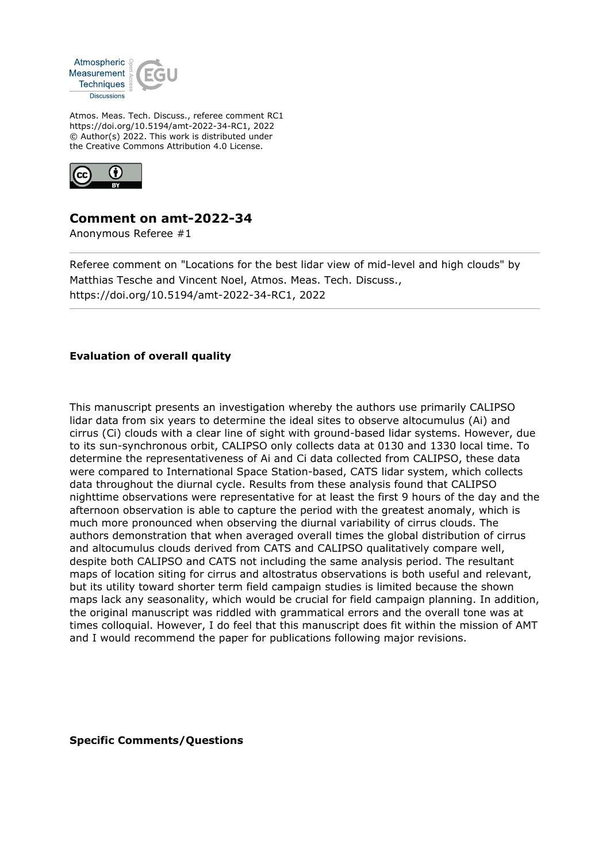

Atmos. Meas. Tech. Discuss., referee comment RC1 https://doi.org/10.5194/amt-2022-34-RC1, 2022 © Author(s) 2022. This work is distributed under the Creative Commons Attribution 4.0 License.



## **Comment on amt-2022-34**

Anonymous Referee #1

Referee comment on "Locations for the best lidar view of mid-level and high clouds" by Matthias Tesche and Vincent Noel, Atmos. Meas. Tech. Discuss., https://doi.org/10.5194/amt-2022-34-RC1, 2022

## **Evaluation of overall quality**

This manuscript presents an investigation whereby the authors use primarily CALIPSO lidar data from six years to determine the ideal sites to observe altocumulus (Ai) and cirrus (Ci) clouds with a clear line of sight with ground-based lidar systems. However, due to its sun-synchronous orbit, CALIPSO only collects data at 0130 and 1330 local time. To determine the representativeness of Ai and Ci data collected from CALIPSO, these data were compared to International Space Station-based, CATS lidar system, which collects data throughout the diurnal cycle. Results from these analysis found that CALIPSO nighttime observations were representative for at least the first 9 hours of the day and the afternoon observation is able to capture the period with the greatest anomaly, which is much more pronounced when observing the diurnal variability of cirrus clouds. The authors demonstration that when averaged overall times the global distribution of cirrus and altocumulus clouds derived from CATS and CALIPSO qualitatively compare well, despite both CALIPSO and CATS not including the same analysis period. The resultant maps of location siting for cirrus and altostratus observations is both useful and relevant, but its utility toward shorter term field campaign studies is limited because the shown maps lack any seasonality, which would be crucial for field campaign planning. In addition, the original manuscript was riddled with grammatical errors and the overall tone was at times colloquial. However, I do feel that this manuscript does fit within the mission of AMT and I would recommend the paper for publications following major revisions.

## **Specific Comments/Questions**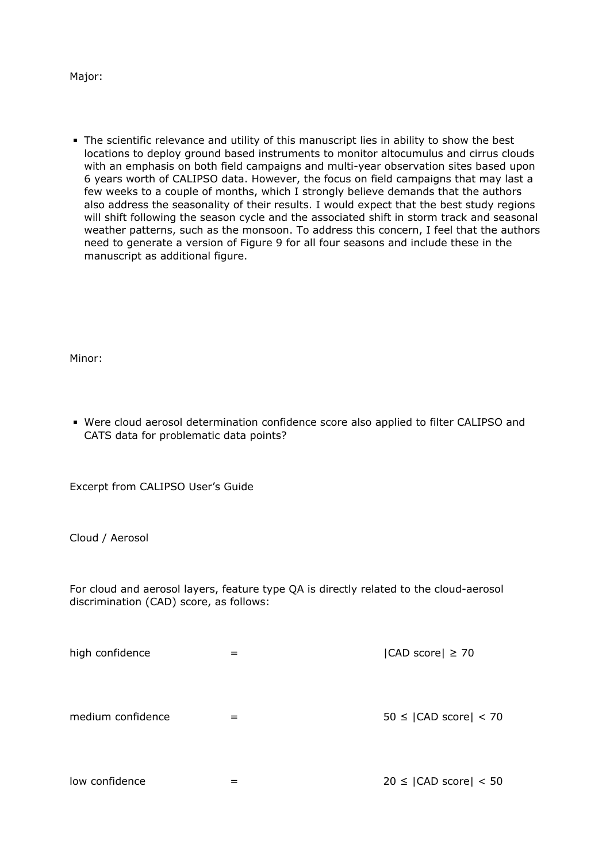Major:

The scientific relevance and utility of this manuscript lies in ability to show the best locations to deploy ground based instruments to monitor altocumulus and cirrus clouds with an emphasis on both field campaigns and multi-year observation sites based upon 6 years worth of CALIPSO data. However, the focus on field campaigns that may last a few weeks to a couple of months, which I strongly believe demands that the authors also address the seasonality of their results. I would expect that the best study regions will shift following the season cycle and the associated shift in storm track and seasonal weather patterns, such as the monsoon. To address this concern, I feel that the authors need to generate a version of Figure 9 for all four seasons and include these in the manuscript as additional figure.

Minor:

Were cloud aerosol determination confidence score also applied to filter CALIPSO and CATS data for problematic data points?

Excerpt from CALIPSO User's Guide

Cloud / Aerosol

For cloud and aerosol layers, feature type QA is directly related to the cloud-aerosol discrimination (CAD) score, as follows:

| high confidence   |   | $ CAD$ score $  \geq 70$           |
|-------------------|---|------------------------------------|
| medium confidence | = | $50 \leq  CAD \text{ score}  < 70$ |
| low confidence    |   | $20 \leq  CAD \text{ score}  < 50$ |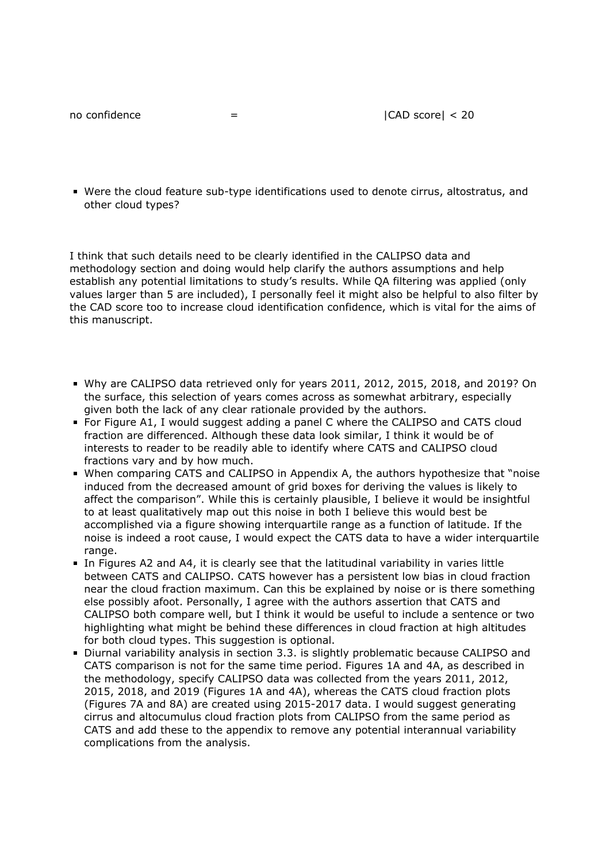Were the cloud feature sub-type identifications used to denote cirrus, altostratus, and other cloud types?

I think that such details need to be clearly identified in the CALIPSO data and methodology section and doing would help clarify the authors assumptions and help establish any potential limitations to study's results. While QA filtering was applied (only values larger than 5 are included), I personally feel it might also be helpful to also filter by the CAD score too to increase cloud identification confidence, which is vital for the aims of this manuscript.

- Why are CALIPSO data retrieved only for years 2011, 2012, 2015, 2018, and 2019? On the surface, this selection of years comes across as somewhat arbitrary, especially given both the lack of any clear rationale provided by the authors.
- For Figure A1, I would suggest adding a panel C where the CALIPSO and CATS cloud fraction are differenced. Although these data look similar, I think it would be of interests to reader to be readily able to identify where CATS and CALIPSO cloud fractions vary and by how much.
- When comparing CATS and CALIPSO in Appendix A, the authors hypothesize that "noise induced from the decreased amount of grid boxes for deriving the values is likely to affect the comparison". While this is certainly plausible, I believe it would be insightful to at least qualitatively map out this noise in both I believe this would best be accomplished via a figure showing interquartile range as a function of latitude. If the noise is indeed a root cause, I would expect the CATS data to have a wider interquartile range.
- In Figures A2 and A4, it is clearly see that the latitudinal variability in varies little between CATS and CALIPSO. CATS however has a persistent low bias in cloud fraction near the cloud fraction maximum. Can this be explained by noise or is there something else possibly afoot. Personally, I agree with the authors assertion that CATS and CALIPSO both compare well, but I think it would be useful to include a sentence or two highlighting what might be behind these differences in cloud fraction at high altitudes for both cloud types. This suggestion is optional.
- Diurnal variability analysis in section 3.3. is slightly problematic because CALIPSO and CATS comparison is not for the same time period. Figures 1A and 4A, as described in the methodology, specify CALIPSO data was collected from the years 2011, 2012, 2015, 2018, and 2019 (Figures 1A and 4A), whereas the CATS cloud fraction plots (Figures 7A and 8A) are created using 2015-2017 data. I would suggest generating cirrus and altocumulus cloud fraction plots from CALIPSO from the same period as CATS and add these to the appendix to remove any potential interannual variability complications from the analysis.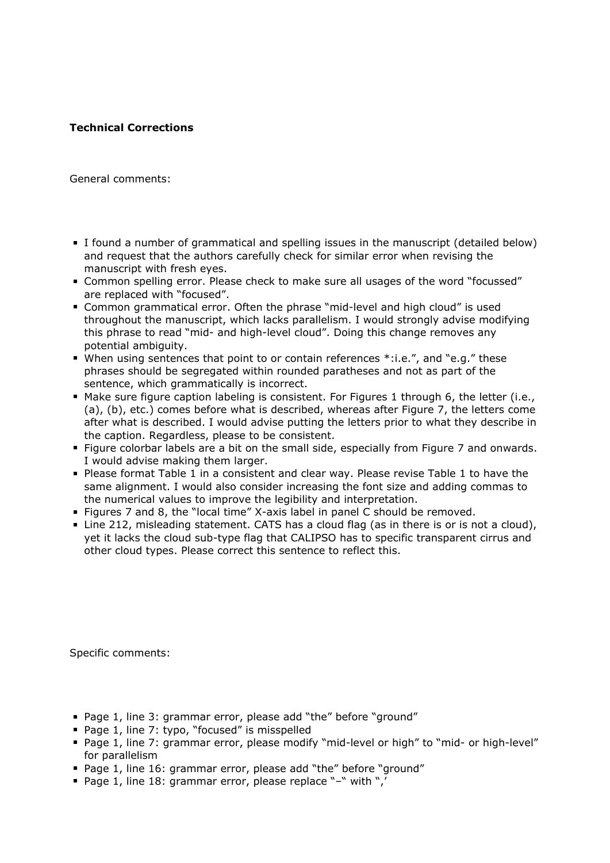## **Technical Corrections**

General comments:

- I found a number of grammatical and spelling issues in the manuscript (detailed below) and request that the authors carefully check for similar error when revising the manuscript with fresh eyes.
- Common spelling error. Please check to make sure all usages of the word "focussed" are replaced with "focused".
- Common grammatical error. Often the phrase "mid-level and high cloud" is used throughout the manuscript, which lacks parallelism. I would strongly advise modifying this phrase to read "mid- and high-level cloud". Doing this change removes any potential ambiguity.
- When using sentences that point to or contain references \*:i.e.", and "e.g." these phrases should be segregated within rounded paratheses and not as part of the sentence, which grammatically is incorrect.
- Make sure figure caption labeling is consistent. For Figures 1 through 6, the letter (i.e., (a), (b), etc.) comes before what is described, whereas after Figure 7, the letters come after what is described. I would advise putting the letters prior to what they describe in the caption. Regardless, please to be consistent.
- Figure colorbar labels are a bit on the small side, especially from Figure 7 and onwards. I would advise making them larger.
- **Please format Table 1 in a consistent and clear way. Please revise Table 1 to have the** same alignment. I would also consider increasing the font size and adding commas to the numerical values to improve the legibility and interpretation.
- Figures 7 and 8, the "local time" X-axis label in panel C should be removed.
- Line 212, misleading statement. CATS has a cloud flag (as in there is or is not a cloud), yet it lacks the cloud sub-type flag that CALIPSO has to specific transparent cirrus and other cloud types. Please correct this sentence to reflect this.

Specific comments:

- Page 1, line 3: grammar error, please add "the" before "ground"
- Page 1, line 7: typo, "focused" is misspelled
- Page 1, line 7: grammar error, please modify "mid-level or high" to "mid- or high-level" for parallelism
- Page 1, line 16: grammar error, please add "the" before "ground"
- Page 1, line 18: grammar error, please replace "-" with ",'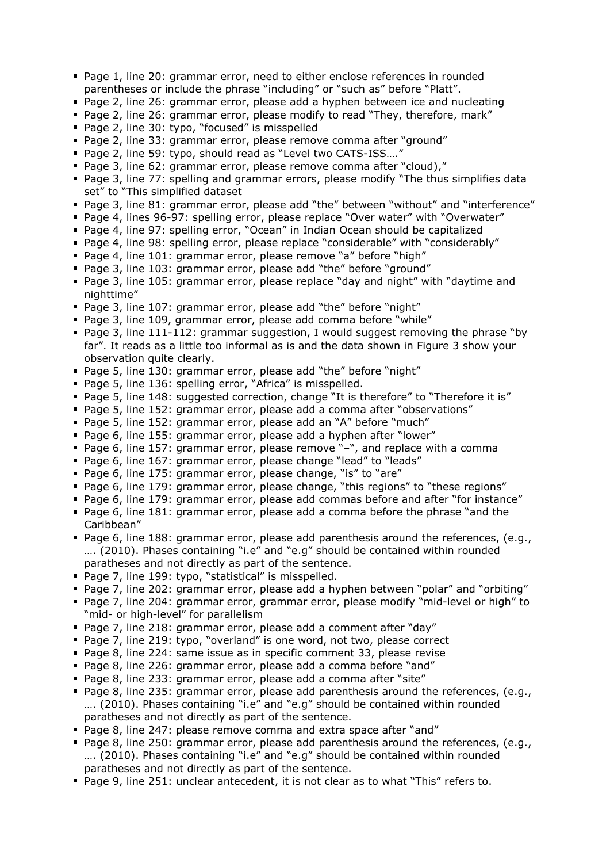- Page 1, line 20: grammar error, need to either enclose references in rounded parentheses or include the phrase "including" or "such as" before "Platt".
- Page 2, line 26: grammar error, please add a hyphen between ice and nucleating
- Page 2, line 26: grammar error, please modify to read "They, therefore, mark"
- Page 2, line 30: typo, "focused" is misspelled
- Page 2, line 33: grammar error, please remove comma after "ground"
- Page 2, line 59: typo, should read as "Level two CATS-ISS...."
- Page 3, line 62: grammar error, please remove comma after "cloud),"
- Page 3, line 77: spelling and grammar errors, please modify "The thus simplifies data set" to "This simplified dataset
- Page 3, line 81: grammar error, please add "the" between "without" and "interference"
- Page 4, lines 96-97: spelling error, please replace "Over water" with "Overwater"
- Page 4, line 97: spelling error, "Ocean" in Indian Ocean should be capitalized
- Page 4, line 98: spelling error, please replace "considerable" with "considerably"
- Page 4, line 101: grammar error, please remove "a" before "high"
- Page 3, line 103: grammar error, please add "the" before "ground"
- Page 3, line 105: grammar error, please replace "day and night" with "daytime and nighttime"
- Page 3, line 107: grammar error, please add "the" before "night"
- Page 3, line 109, grammar error, please add comma before "while"
- Page 3, line 111-112: grammar suggestion, I would suggest removing the phrase "by far". It reads as a little too informal as is and the data shown in Figure 3 show your observation quite clearly.
- Page 5, line 130: grammar error, please add "the" before "night"
- Page 5, line 136: spelling error, "Africa" is misspelled.
- Page 5, line 148: suggested correction, change "It is therefore" to "Therefore it is"
- Page 5, line 152: grammar error, please add a comma after "observations"
- Page 5, line 152: grammar error, please add an "A" before "much"
- Page 6, line 155: grammar error, please add a hyphen after "lower"
- Page 6, line 157: grammar error, please remove "-", and replace with a comma
- **Page 6, line 167: grammar error, please change "lead" to "leads"**
- Page 6, line 175: grammar error, please change, "is" to "are"
- Page 6, line 179: grammar error, please change, "this regions" to "these regions"
- Page 6, line 179: grammar error, please add commas before and after "for instance"
- **Page 6, line 181: grammar error, please add a comma before the phrase "and the "** Caribbean"
- Page 6, line 188: grammar error, please add parenthesis around the references, (e.g., …. (2010). Phases containing "i.e" and "e.g" should be contained within rounded paratheses and not directly as part of the sentence.
- Page 7, line 199: typo, "statistical" is misspelled.
- Page 7, line 202: grammar error, please add a hyphen between "polar" and "orbiting"
- Page 7, line 204: grammar error, grammar error, please modify "mid-level or high" to "mid- or high-level" for parallelism
- Page 7, line 218: grammar error, please add a comment after "day"
- Page 7, line 219: typo, "overland" is one word, not two, please correct
- Page 8, line 224: same issue as in specific comment 33, please revise
- Page 8, line 226: grammar error, please add a comma before "and"
- Page 8, line 233: grammar error, please add a comma after "site"
- **Page 8, line 235: grammar error, please add parenthesis around the references, (e.g.,** …. (2010). Phases containing "i.e" and "e.g" should be contained within rounded paratheses and not directly as part of the sentence.
- Page 8, line 247: please remove comma and extra space after "and"
- **Page 8, line 250: grammar error, please add parenthesis around the references, (e.g.,** …. (2010). Phases containing "i.e" and "e.g" should be contained within rounded paratheses and not directly as part of the sentence.
- Page 9, line 251: unclear antecedent, it is not clear as to what "This" refers to.